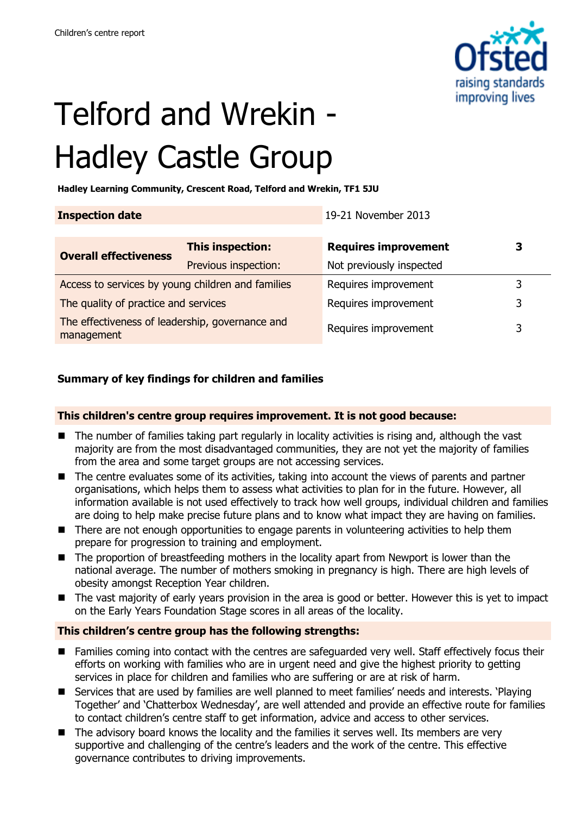

# Telford and Wrekin - Hadley Castle Group

**Hadley Learning Community, Crescent Road, Telford and Wrekin, TF1 5JU**

| <b>Inspection date</b>                                        |                      | 19-21 November 2013         |   |
|---------------------------------------------------------------|----------------------|-----------------------------|---|
|                                                               |                      |                             |   |
| <b>Overall effectiveness</b>                                  | This inspection:     | <b>Requires improvement</b> | З |
|                                                               | Previous inspection: | Not previously inspected    |   |
| Access to services by young children and families             |                      | Requires improvement        |   |
| The quality of practice and services                          |                      | Requires improvement        | 3 |
| The effectiveness of leadership, governance and<br>management |                      | Requires improvement        | 3 |

### **Summary of key findings for children and families**

#### **This children's centre group requires improvement. It is not good because:**

- The number of families taking part regularly in locality activities is rising and, although the vast majority are from the most disadvantaged communities, they are not yet the majority of families from the area and some target groups are not accessing services.
- The centre evaluates some of its activities, taking into account the views of parents and partner organisations, which helps them to assess what activities to plan for in the future. However, all information available is not used effectively to track how well groups, individual children and families are doing to help make precise future plans and to know what impact they are having on families.
- There are not enough opportunities to engage parents in volunteering activities to help them prepare for progression to training and employment.
- The proportion of breastfeeding mothers in the locality apart from Newport is lower than the national average. The number of mothers smoking in pregnancy is high. There are high levels of obesity amongst Reception Year children.
- The vast majority of early years provision in the area is good or better. However this is yet to impact on the Early Years Foundation Stage scores in all areas of the locality.

### **This children's centre group has the following strengths:**

- Families coming into contact with the centres are safeguarded very well. Staff effectively focus their efforts on working with families who are in urgent need and give the highest priority to getting services in place for children and families who are suffering or are at risk of harm.
- Services that are used by families are well planned to meet families' needs and interests. 'Playing Together' and 'Chatterbox Wednesday', are well attended and provide an effective route for families to contact children's centre staff to get information, advice and access to other services.
- The advisory board knows the locality and the families it serves well. Its members are very supportive and challenging of the centre's leaders and the work of the centre. This effective governance contributes to driving improvements.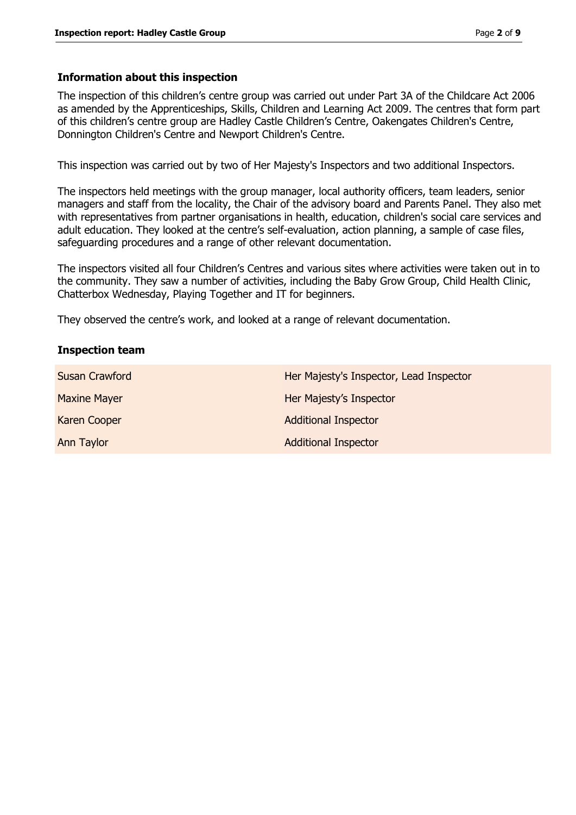#### **Information about this inspection**

The inspection of this children's centre group was carried out under Part 3A of the Childcare Act 2006 as amended by the Apprenticeships, Skills, Children and Learning Act 2009. The centres that form part of this children's centre group are Hadley Castle Children's Centre, Oakengates Children's Centre, Donnington Children's Centre and Newport Children's Centre.

This inspection was carried out by two of Her Majesty's Inspectors and two additional Inspectors.

The inspectors held meetings with the group manager, local authority officers, team leaders, senior managers and staff from the locality, the Chair of the advisory board and Parents Panel. They also met with representatives from partner organisations in health, education, children's social care services and adult education. They looked at the centre's self-evaluation, action planning, a sample of case files, safeguarding procedures and a range of other relevant documentation.

The inspectors visited all four Children's Centres and various sites where activities were taken out in to the community. They saw a number of activities, including the Baby Grow Group, Child Health Clinic, Chatterbox Wednesday, Playing Together and IT for beginners.

They observed the centre's work, and looked at a range of relevant documentation.

#### **Inspection team**

| <b>Susan Crawford</b> | Her Majesty's Inspector, Lead Inspector |
|-----------------------|-----------------------------------------|
| <b>Maxine Mayer</b>   | Her Majesty's Inspector                 |
| Karen Cooper          | <b>Additional Inspector</b>             |
| Ann Taylor            | <b>Additional Inspector</b>             |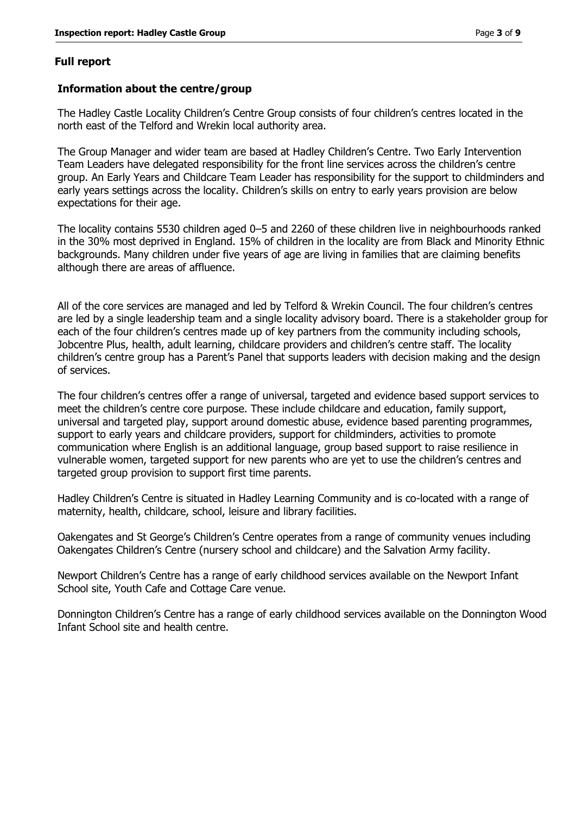#### **Full report**

#### **Information about the centre/group**

The Hadley Castle Locality Children's Centre Group consists of four children's centres located in the north east of the Telford and Wrekin local authority area.

The Group Manager and wider team are based at Hadley Children's Centre. Two Early Intervention Team Leaders have delegated responsibility for the front line services across the children's centre group. An Early Years and Childcare Team Leader has responsibility for the support to childminders and early years settings across the locality. Children's skills on entry to early years provision are below expectations for their age.

The locality contains 5530 children aged 0–5 and 2260 of these children live in neighbourhoods ranked in the 30% most deprived in England. 15% of children in the locality are from Black and Minority Ethnic backgrounds. Many children under five years of age are living in families that are claiming benefits although there are areas of affluence.

All of the core services are managed and led by Telford & Wrekin Council. The four children's centres are led by a single leadership team and a single locality advisory board. There is a stakeholder group for each of the four children's centres made up of key partners from the community including schools, Jobcentre Plus, health, adult learning, childcare providers and children's centre staff. The locality children's centre group has a Parent's Panel that supports leaders with decision making and the design of services.

The four children's centres offer a range of universal, targeted and evidence based support services to meet the children's centre core purpose. These include childcare and education, family support, universal and targeted play, support around domestic abuse, evidence based parenting programmes, support to early years and childcare providers, support for childminders, activities to promote communication where English is an additional language, group based support to raise resilience in vulnerable women, targeted support for new parents who are yet to use the children's centres and targeted group provision to support first time parents.

Hadley Children's Centre is situated in Hadley Learning Community and is co-located with a range of maternity, health, childcare, school, leisure and library facilities.

Oakengates and St George's Children's Centre operates from a range of community venues including Oakengates Children's Centre (nursery school and childcare) and the Salvation Army facility.

Newport Children's Centre has a range of early childhood services available on the Newport Infant School site, Youth Cafe and Cottage Care venue.

Donnington Children's Centre has a range of early childhood services available on the Donnington Wood Infant School site and health centre.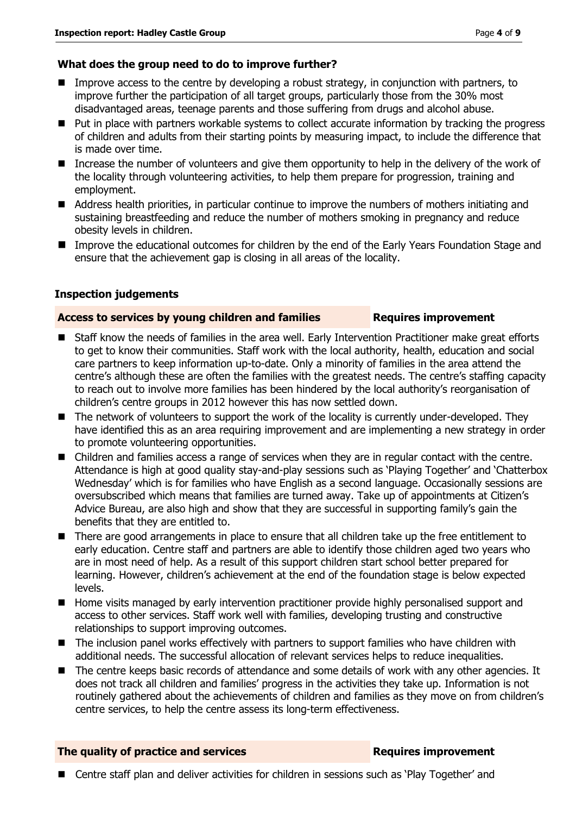#### **What does the group need to do to improve further?**

- **IMPROVE** Improve access to the centre by developing a robust strategy, in conjunction with partners, to improve further the participation of all target groups, particularly those from the 30% most disadvantaged areas, teenage parents and those suffering from drugs and alcohol abuse.
- Put in place with partners workable systems to collect accurate information by tracking the progress of children and adults from their starting points by measuring impact, to include the difference that is made over time.
- Increase the number of volunteers and give them opportunity to help in the delivery of the work of the locality through volunteering activities, to help them prepare for progression, training and employment.
- Address health priorities, in particular continue to improve the numbers of mothers initiating and sustaining breastfeeding and reduce the number of mothers smoking in pregnancy and reduce obesity levels in children.
- **IMPROVE THE EXAMPLE 2015 CONCERT EXAMPLE THE EXAMPLE IN THE EXAMPLE IN THE EXAMPLE THE EXAMPLE THE EXAMPLE THE INCOLLED THE INTERETOR INCOLLED THE INCOLLED THE INCOLLED THE INCOLLED THE INCOLLED THE INCOLLED THE INCOLLED** ensure that the achievement gap is closing in all areas of the locality.

#### **Inspection judgements**

#### **Access to services by young children and families Requires improvement**

- Staff know the needs of families in the area well. Early Intervention Practitioner make great efforts to get to know their communities. Staff work with the local authority, health, education and social care partners to keep information up-to-date. Only a minority of families in the area attend the centre's although these are often the families with the greatest needs. The centre's staffing capacity to reach out to involve more families has been hindered by the local authority's reorganisation of children's centre groups in 2012 however this has now settled down.
- The network of volunteers to support the work of the locality is currently under-developed. They have identified this as an area requiring improvement and are implementing a new strategy in order to promote volunteering opportunities.
- Children and families access a range of services when they are in regular contact with the centre. Attendance is high at good quality stay-and-play sessions such as 'Playing Together' and 'Chatterbox Wednesday' which is for families who have English as a second language. Occasionally sessions are oversubscribed which means that families are turned away. Take up of appointments at Citizen's Advice Bureau, are also high and show that they are successful in supporting family's gain the benefits that they are entitled to.
- There are good arrangements in place to ensure that all children take up the free entitlement to early education. Centre staff and partners are able to identify those children aged two years who are in most need of help. As a result of this support children start school better prepared for learning. However, children's achievement at the end of the foundation stage is below expected levels.
- **Home visits managed by early intervention practitioner provide highly personalised support and** access to other services. Staff work well with families, developing trusting and constructive relationships to support improving outcomes.
- The inclusion panel works effectively with partners to support families who have children with additional needs. The successful allocation of relevant services helps to reduce inequalities.
- The centre keeps basic records of attendance and some details of work with any other agencies. It does not track all children and families' progress in the activities they take up. Information is not routinely gathered about the achievements of children and families as they move on from children's centre services, to help the centre assess its long-term effectiveness.

#### **The quality of practice and services <b>Requires improvement**

■ Centre staff plan and deliver activities for children in sessions such as 'Play Together' and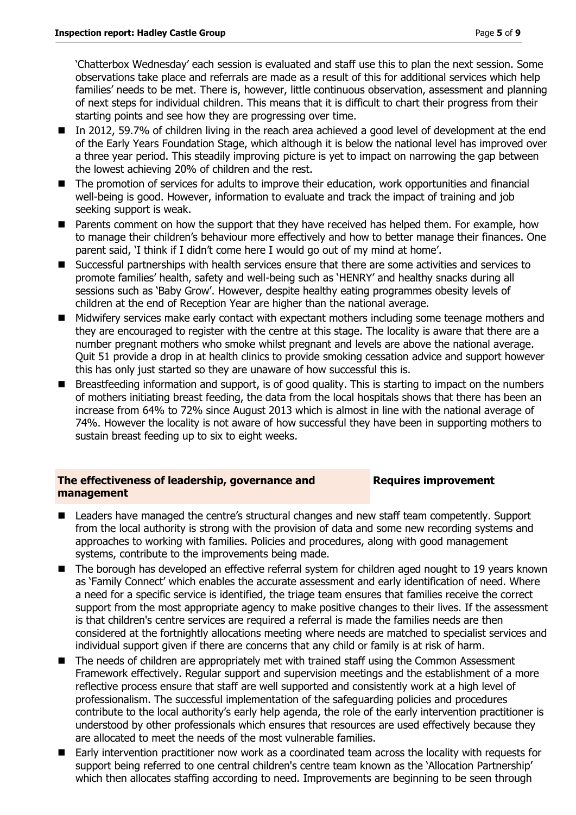'Chatterbox Wednesday' each session is evaluated and staff use this to plan the next session. Some observations take place and referrals are made as a result of this for additional services which help families' needs to be met. There is, however, little continuous observation, assessment and planning of next steps for individual children. This means that it is difficult to chart their progress from their starting points and see how they are progressing over time.

- In 2012, 59.7% of children living in the reach area achieved a good level of development at the end of the Early Years Foundation Stage, which although it is below the national level has improved over a three year period. This steadily improving picture is yet to impact on narrowing the gap between the lowest achieving 20% of children and the rest.
- The promotion of services for adults to improve their education, work opportunities and financial well-being is good. However, information to evaluate and track the impact of training and job seeking support is weak.
- **Parents comment on how the support that they have received has helped them. For example, how** to manage their children's behaviour more effectively and how to better manage their finances. One parent said, 'I think if I didn't come here I would go out of my mind at home'.
- Successful partnerships with health services ensure that there are some activities and services to promote families' health, safety and well-being such as 'HENRY' and healthy snacks during all sessions such as 'Baby Grow'. However, despite healthy eating programmes obesity levels of children at the end of Reception Year are higher than the national average.
- Midwifery services make early contact with expectant mothers including some teenage mothers and they are encouraged to register with the centre at this stage. The locality is aware that there are a number pregnant mothers who smoke whilst pregnant and levels are above the national average. Quit 51 provide a drop in at health clinics to provide smoking cessation advice and support however this has only just started so they are unaware of how successful this is.
- Breastfeeding information and support, is of good quality. This is starting to impact on the numbers of mothers initiating breast feeding, the data from the local hospitals shows that there has been an increase from 64% to 72% since August 2013 which is almost in line with the national average of 74%. However the locality is not aware of how successful they have been in supporting mothers to sustain breast feeding up to six to eight weeks.

#### **The effectiveness of leadership, governance and management**

#### **Requires improvement**

- Leaders have managed the centre's structural changes and new staff team competently. Support from the local authority is strong with the provision of data and some new recording systems and approaches to working with families. Policies and procedures, along with good management systems, contribute to the improvements being made.
- The borough has developed an effective referral system for children aged nought to 19 years known as 'Family Connect' which enables the accurate assessment and early identification of need. Where a need for a specific service is identified, the triage team ensures that families receive the correct support from the most appropriate agency to make positive changes to their lives. If the assessment is that children's centre services are required a referral is made the families needs are then considered at the fortnightly allocations meeting where needs are matched to specialist services and individual support given if there are concerns that any child or family is at risk of harm.
- The needs of children are appropriately met with trained staff using the Common Assessment Framework effectively. Regular support and supervision meetings and the establishment of a more reflective process ensure that staff are well supported and consistently work at a high level of professionalism. The successful implementation of the safeguarding policies and procedures contribute to the local authority's early help agenda, the role of the early intervention practitioner is understood by other professionals which ensures that resources are used effectively because they are allocated to meet the needs of the most vulnerable families.
- Early intervention practitioner now work as a coordinated team across the locality with requests for support being referred to one central children's centre team known as the 'Allocation Partnership' which then allocates staffing according to need. Improvements are beginning to be seen through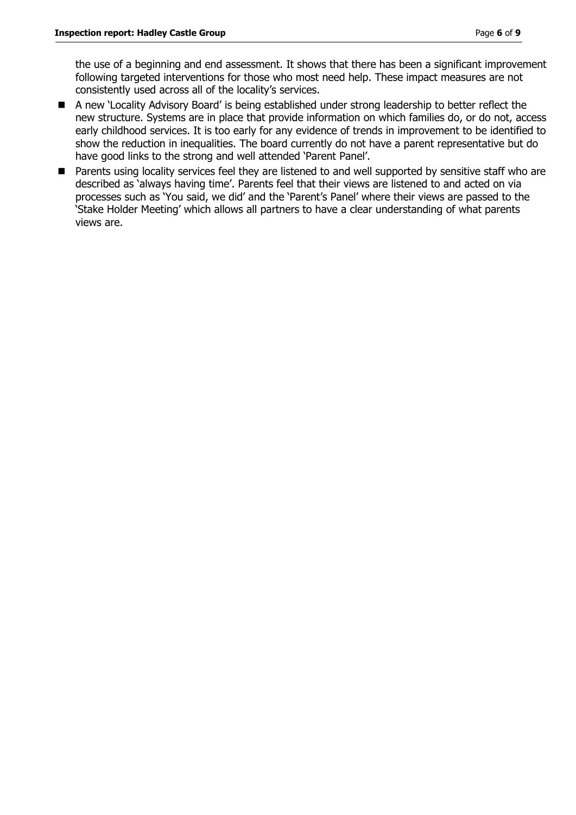the use of a beginning and end assessment. It shows that there has been a significant improvement following targeted interventions for those who most need help. These impact measures are not consistently used across all of the locality's services.

- A new 'Locality Advisory Board' is being established under strong leadership to better reflect the new structure. Systems are in place that provide information on which families do, or do not, access early childhood services. It is too early for any evidence of trends in improvement to be identified to show the reduction in inequalities. The board currently do not have a parent representative but do have good links to the strong and well attended 'Parent Panel'.
- Parents using locality services feel they are listened to and well supported by sensitive staff who are described as 'always having time'. Parents feel that their views are listened to and acted on via processes such as 'You said, we did' and the 'Parent's Panel' where their views are passed to the 'Stake Holder Meeting' which allows all partners to have a clear understanding of what parents views are.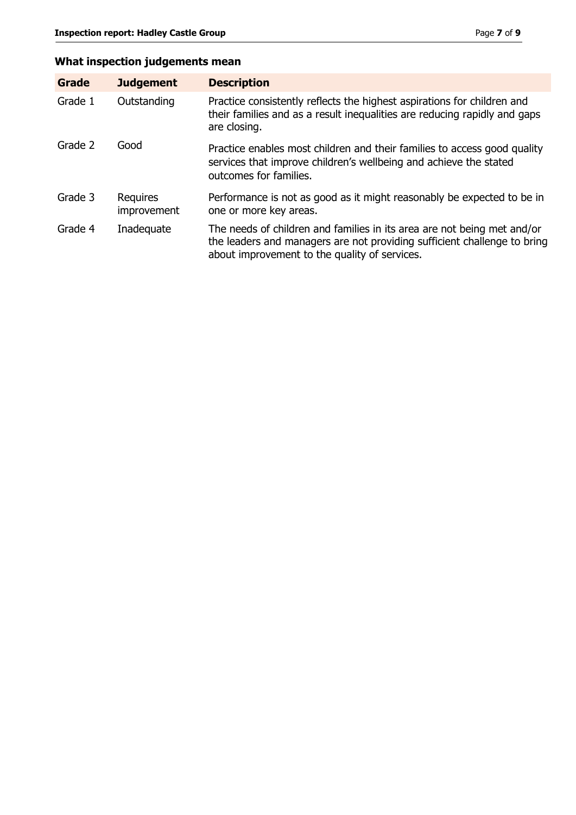## **What inspection judgements mean**

| <b>Grade</b> | <b>Judgement</b>        | <b>Description</b>                                                                                                                                                                                   |
|--------------|-------------------------|------------------------------------------------------------------------------------------------------------------------------------------------------------------------------------------------------|
| Grade 1      | Outstanding             | Practice consistently reflects the highest aspirations for children and<br>their families and as a result inequalities are reducing rapidly and gaps<br>are closing.                                 |
| Grade 2      | Good                    | Practice enables most children and their families to access good quality<br>services that improve children's wellbeing and achieve the stated<br>outcomes for families.                              |
| Grade 3      | Requires<br>improvement | Performance is not as good as it might reasonably be expected to be in<br>one or more key areas.                                                                                                     |
| Grade 4      | Inadequate              | The needs of children and families in its area are not being met and/or<br>the leaders and managers are not providing sufficient challenge to bring<br>about improvement to the quality of services. |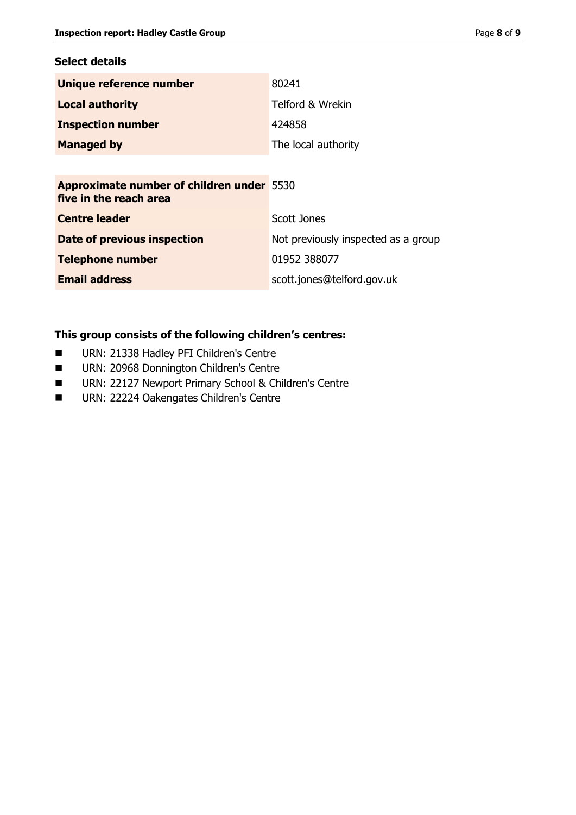#### **Select details**

| Unique reference number  | 80241               |
|--------------------------|---------------------|
| <b>Local authority</b>   | Telford & Wrekin    |
| <b>Inspection number</b> | 424858              |
| <b>Managed by</b>        | The local authority |
|                          |                     |

**Approximate number of children under**  5530 **five in the reach area**

| <b>Centre leader</b>        | Scott Jones                         |
|-----------------------------|-------------------------------------|
| Date of previous inspection | Not previously inspected as a group |
| <b>Telephone number</b>     | 01952 388077                        |
| <b>Email address</b>        | scott.jones@telford.gov.uk          |

## **This group consists of the following children's centres:**

- **URN: 21338 Hadley PFI Children's Centre**
- **URN: 20968 Donnington Children's Centre**
- **URN: 22127 Newport Primary School & Children's Centre**
- **URN: 22224 Oakengates Children's Centre**